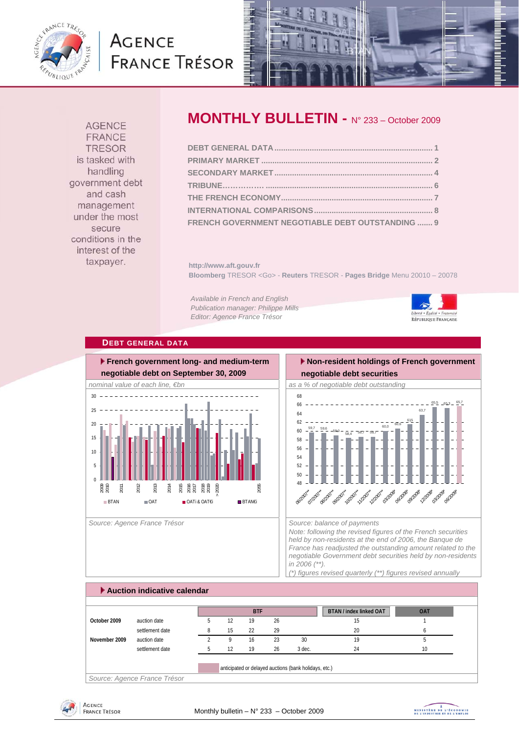

# **AGENCE FRANCE TRÉSOR**



**AGENCE FRANCE TRESOR** is tasked with handling government debt and cash management under the most secure conditions in the interest of the taxpayer.

# **MONTHLY BULLETIN -** N° 233 – October 2009

| FRENCH GOVERNMENT NEGOTIABLE DEBT OUTSTANDING  9 |  |
|--------------------------------------------------|--|

**http://www.aft.gouv.fr Bloomberg** TRESOR <Go> - **Reuters** TRESOR - **Pages Bridge** Menu 20010 – 20078

*Available in French and English Publication manager: Philippe Mills Editor: Agence France Trésor* 



#### **DEBT GENERAL DATA**



Source: Agence France Trésor **Source: balance of payments** Source: balance of payments

# **Non-resident holdings of French government**

**negotiable debt securities** 



*Note: following the revised figures of the French securities held by non-residents at the end of 2006, the Banque de France has readjusted the outstanding amount related to the negotiable Government debt securities held by non-residents in 2006 (\*\*). (\*) figures revised quarterly (\*\*) figures revised annually* 

## **Auction indicative calendar BTAN / index linked OAT** OAT **October 2009** auction date 5 12 19 26 15 15 16 15 settlement date **8** 15 22 29 29 20 6 **November 2009** auction date 2 9 16 23 30 19 19 settlement date 5 12 19 26 3 dec. 24 24 10 anticipated or delayed auctions (bank holidays, etc.) **BTF**

*Source: Agence France Trésor* 



MINISTRE DE L'ÉCONOMIE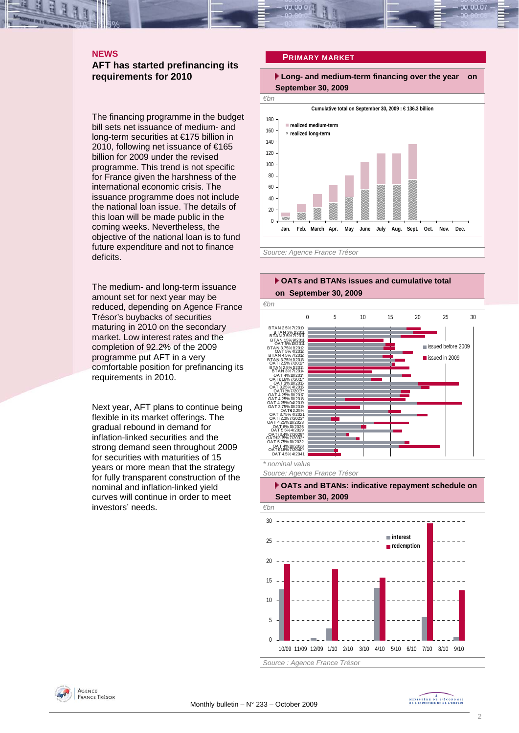### **NEWS**

#### **AFT has started prefinancing its requirements for 2010**

The financing programme in the budget bill sets net issuance of medium- and long-term securities at €175 billion in 2010, following net issuance of €165 billion for 2009 under the revised programme. This trend is not specific for France given the harshness of the international economic crisis. The issuance programme does not include the national loan issue. The details of this loan will be made public in the coming weeks. Nevertheless, the objective of the national loan is to fund future expenditure and not to finance deficits.

The medium- and long-term issuance amount set for next year may be reduced, depending on Agence France Trésor's buybacks of securities maturing in 2010 on the secondary market. Low interest rates and the completion of 92.2% of the 2009 programme put AFT in a very comfortable position for prefinancing its requirements in 2010.

Next year, AFT plans to continue being flexible in its market offerings. The gradual rebound in demand for inflation-linked securities and the strong demand seen throughout 2009 for securities with maturities of 15 years or more mean that the strategy for fully transparent construction of the nominal and inflation-linked yield curves will continue in order to meet investors' needs.

#### **PRIMARY MARKET**

 **Long- and medium-term financing over the year on September 30, 2009** 







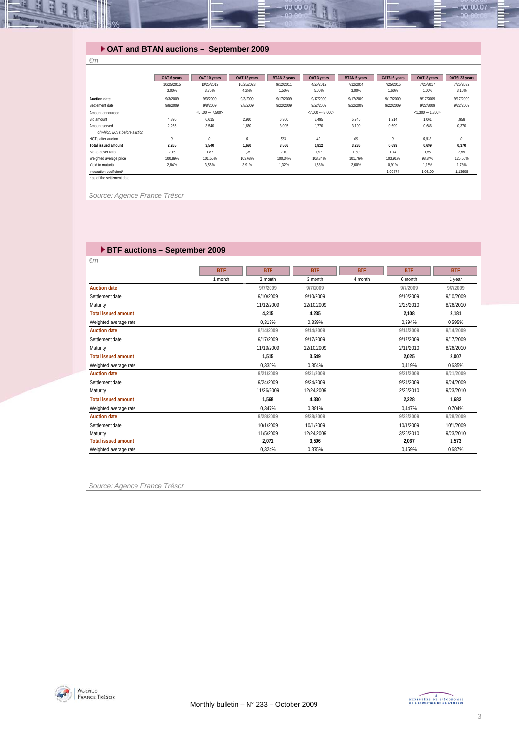

#### **OAT and BTAN auctions – September 2009**

|                               | OAT 6 years | OAT 10 years      | OAT 13 years | BTAN 2 years | OAT 3 years       | BTAN 5 years | OAT€i 6 years    | OATi 8 years | OAT€i 23 years |  |
|-------------------------------|-------------|-------------------|--------------|--------------|-------------------|--------------|------------------|--------------|----------------|--|
|                               | 10/25/2015  | 10/25/2019        | 10/25/2023   | 9/12/2011    | 4/25/2012         | 7/12/2014    | 7/25/2015        | 7/25/2017    | 7/25/2032      |  |
|                               | 3.00%       | 3.75%             | 4.25%        | 1,50%        | 5,00%             | 3,00%        | 1,60%            | 1,00%        | 3,15%          |  |
| <b>Auction date</b>           | 9/3/2009    | 9/3/2009          | 9/3/2009     | 9/17/2009    | 9/17/2009         | 9/17/2009    | 9/17/2009        | 9/17/2009    | 9/17/2009      |  |
| Settlement date               | 9/8/2009    | 9/8/2009          | 9/8/2009     | 9/22/2009    | 9/22/2009         | 9/22/2009    | 9/22/2009        | 9/22/2009    | 9/22/2009      |  |
| Amount announced              |             | $< 6,500 - 7,500$ |              |              | $<7,000 - 8,000>$ |              | $<1,300 - 1,800$ |              |                |  |
| Bid amount                    | 4.890       | 6,615             | 2,910        | 6,300        | 3,495             | 5,745        | 1,214            | 1,061        | ,958           |  |
| Amount served                 | 2,265       | 3,540             | 1,660        | 3,005        | 1,770             | 3,190        | 0,699            | 0,686        | 0,370          |  |
| of which: NCTs before auction |             |                   |              |              |                   |              |                  |              |                |  |
| NCTs after auction            | 0           | 0                 | $\mathcal O$ | 561          | 42                | 46           | 0                | 0,013        | $\theta$       |  |
| <b>Total issued amount</b>    | 2,265       | 3,540             | 1,660        | 3,566        | 1,812             | 3,236        | 0,699            | 0,699        | 0,370          |  |
| Bid-to-cover ratio            | 2.16        | 1.87              | 1,75         | 2.10         | 1.97              | 1.80         | 1.74             | 1.55         | 2,59           |  |
| Weighted average price        | 100.89%     | 101.55%           | 103,68%      | 100.34%      | 108,34%           | 101.76%      | 103.91%          | 98.87%       | 125,56%        |  |
| Yield to maturity             | 2.84%       | 3,56%             | 3.91%        | 1,32%        | 1,68%             | 2,60%        | 0.91%            | 1.15%        | 1,78%          |  |
| Indexation coefficient*       |             |                   | $\sim$       | $\sim$       | $\sim$            | ٠<br>$\sim$  | 1,09874          | 1,06100      | 1,13608        |  |
| as of the settlement date     |             |                   |              |              |                   |              |                  |              |                |  |

 *Source: Agence France Trésor* 

*€m* 

#### **BTF auctions – September 2009**  *€m*  **BTF BTF BTF BTF BTF BTF** 1 month 1 year 2 month 3 month 4 month 6 month 1 year **Auction date 9/7/2009 9/7/2009 9/7/2009 9/7/2009** Settlement date 9/10/2009 9/10/2009 9/10/2009 9/10/2009 Maturity 11/12/2009 12/10/2009 2/25/2010 8/26/2010 **Total issued amount 4,215 4,235 2,108 2,181** Weighted average rate 0,313% 0,339% 0,394% 0,595% **Auction date 9/14/2009 9/14/2009 9/14/2009 9/14/2009** Settlement date 9/17/2009 9/17/2009 9/17/2009 9/17/2009 Maturity 11/19/2009 12/10/2009 2/11/2010 8/26/2010 **Total issued amount 1,515 3,549 2,025 2,007** Weighted average rate **000 and 2010** 0,335% 0,354% 0,419% 0,419% 0,635% 0,55% 0,55% 0,55% 0,635% 0,635% 0,635% 0,635% 0,635% 0,635% 0,635% 0,635% 0,635% 0,635% 0,635% 0,635% 0,635% 0,635% 0,635% 0,635% 0,635% 0,635% 0,635% **Auction date 9/21/2009 9/21/2009 9/21/2009 9/21/2009** Settlement date 9/24/2009 9/24/2009 9/24/2009 9/24/2009 Maturity 11/26/2009 12/24/2009 2/25/2010 9/23/2010 **Total issued amount 1,568 4,330 2,228 1,682** Meighted average rate **1,000 mm** and the control of the control of the control of the control of the control of the control of the control of the control of the control of the control of the control of the control of the c **Auction date 9/28/2009 9/28/2009 9/28/2009 9/28/2009** Settlement date 10/1/2009 10/1/2009 10/1/2009 10/1/2009 Maturity 11/5/2009 12/24/2009 3/25/2010 9/23/2010 **Total issued amount 2,071 3,506 2,067 1,573** Weighted average rate 0,459% 0,687% 0,324% 0,375% 0,459% 0,459% 0,687% 0,687% 0,575% 0,459% 0,687% 0,687% 0,587% 0,587% 0,587% 0,587% 0,587% 0,587% 0,587% 0,587% 0,587% 0,587% 0,587% 0,587% 0,587% 0,587% 0,587% 0,587% 0,58

*Source: Agence France Trésor* 

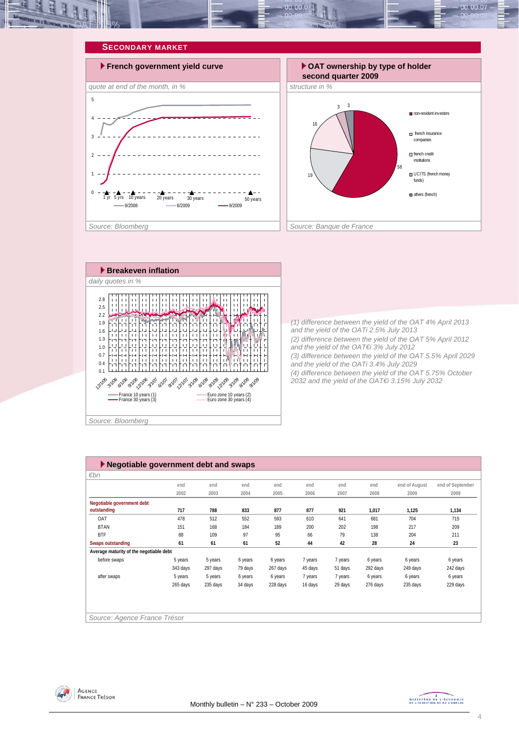







*(1) difference between the yield of the OAT 4% April 2013 and the yield of the OATi 2.5% July 2013 (2) difference between the yield of the OAT 5% April 2012 and the yield of the OAT€i 3% July 2012 (3) difference between the yield of the OAT 5.5% April 2029 and the yield of the OATi 3.4% July 2029 (4) difference between the yield of the OAT 5.75% October 2032 and the yield of the OAT€i 3.15% July 2032* 

| $\blacktriangleright$ Negotiable government debt and swaps |          |          |         |          |         |         |          |               |                  |  |
|------------------------------------------------------------|----------|----------|---------|----------|---------|---------|----------|---------------|------------------|--|
| $\varepsilon$ bn                                           |          |          |         |          |         |         |          |               |                  |  |
|                                                            | end      | end      | end     | end      | end     | end     | end      | end of August | end of September |  |
|                                                            | 2002     | 2003     | 2004    | 2005     | 2006    | 2007    | 2008     | 2009          | 2009             |  |
| Negotiable government debt                                 |          |          |         |          |         |         |          |               |                  |  |
| outstanding                                                | 717      | 788      | 833     | 877      | 877     | 921     | 1,017    | 1,125         | 1,134            |  |
| OAT                                                        | 478      | 512      | 552     | 593      | 610     | 641     | 681      | 704           | 715              |  |
| <b>BTAN</b>                                                | 151      | 168      | 184     | 189      | 200     | 202     | 198      | 217           | 209              |  |
| <b>BTF</b>                                                 | 88       | 109      | 97      | 95       | 66      | 79      | 138      | 204           | 211              |  |
| <b>Swaps outstanding</b>                                   | 61       | 61       | 61      | 52       | 44      | 42      | 28       | 24            | 23               |  |
| Average maturity of the negotiable debt                    |          |          |         |          |         |         |          |               |                  |  |
| before swaps                                               | 5 years  | 5 years  | 6 years | 6 years  | 7 years | 7 years | 6 years  | 6 years       | 6 years          |  |
|                                                            | 343 days | 297 days | 79 days | 267 days | 45 days | 51 days | 292 days | 249 days      | 242 days         |  |
| after swaps                                                | 5 years  | 5 years  | 6 years | 6 years  | 7 years | 7 years | 6 years  | 6 years       | 6 years          |  |
|                                                            | 265 days | 235 days | 34 days | 228 days | 16 days | 29 days | 276 days | 235 days      | 229 days         |  |
|                                                            |          |          |         |          |         |         |          |               |                  |  |
|                                                            |          |          |         |          |         |         |          |               |                  |  |
|                                                            |          |          |         |          |         |         |          |               |                  |  |
| Source: Agence France Trésor                               |          |          |         |          |         |         |          |               |                  |  |



MINISTRE DE L'ÉCONOMIE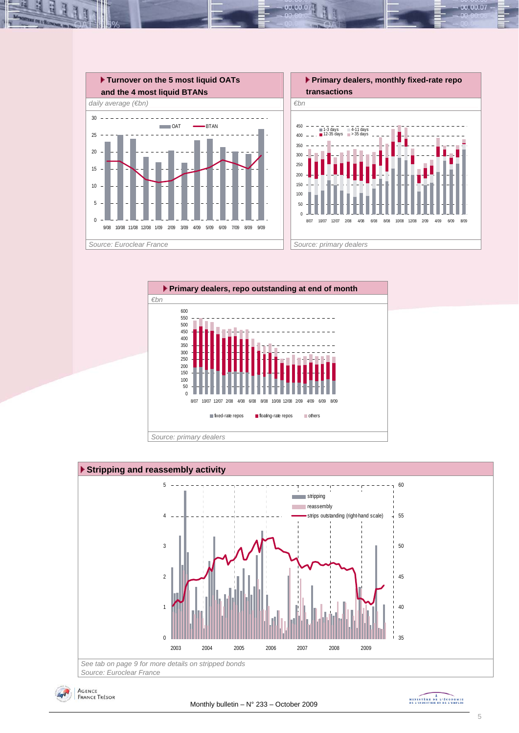

 $00.00.0$ 







MINISTRE DE L'ÉCONOMIE

00.00.07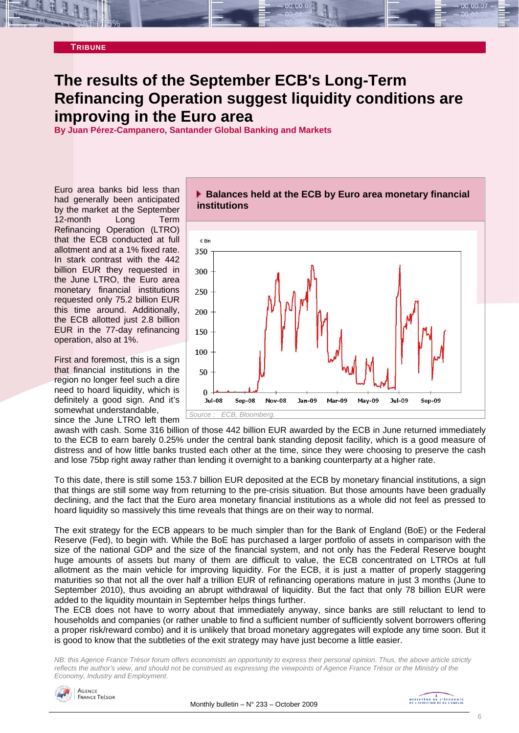#### **TRIBUNE**

# **The results of the September ECB's Long-Term Refinancing Operation suggest liquidity conditions are improving in the Euro area**

**By Juan Pérez-Campanero, Santander Global Banking and Markets** 

Euro area banks bid less than had generally been anticipated by the market at the September 12-month Long Term Refinancing Operation (LTRO) that the ECB conducted at full allotment and at a 1% fixed rate. In stark contrast with the 442 billion EUR they requested in the June LTRO, the Euro area monetary financial institutions requested only 75.2 billion EUR this time around. Additionally, the ECB allotted just 2.8 billion EUR in the 77-day refinancing operation, also at 1%.

First and foremost, this is a sign that financial institutions in the region no longer feel such a dire need to hoard liquidity, which is definitely a good sign. And it's somewhat understandable, since the June LTRO left them **Balances held at the ECB by Euro area monetary financial institutions**



awash with cash. Some 316 billion of those 442 billion EUR awarded by the ECB in June returned immediately to the ECB to earn barely 0.25% under the central bank standing deposit facility, which is a good measure of distress and of how little banks trusted each other at the time, since they were choosing to preserve the cash and lose 75bp right away rather than lending it overnight to a banking counterparty at a higher rate.

To this date, there is still some 153.7 billion EUR deposited at the ECB by monetary financial institutions, a sign that things are still some way from returning to the pre-crisis situation. But those amounts have been gradually declining, and the fact that the Euro area monetary financial institutions as a whole did not feel as pressed to hoard liquidity so massively this time reveals that things are on their way to normal.

The exit strategy for the ECB appears to be much simpler than for the Bank of England (BoE) or the Federal Reserve (Fed), to begin with. While the BoE has purchased a larger portfolio of assets in comparison with the size of the national GDP and the size of the financial system, and not only has the Federal Reserve bought huge amounts of assets but many of them are difficult to value, the ECB concentrated on LTROs at full allotment as the main vehicle for improving liquidity. For the ECB, it is just a matter of properly staggering maturities so that not all the over half a trillion EUR of refinancing operations mature in just 3 months (June to September 2010), thus avoiding an abrupt withdrawal of liquidity. But the fact that only 78 billion EUR were added to the liquidity mountain in September helps things further.

The ECB does not have to worry about that immediately anyway, since banks are still reluctant to lend to households and companies (or rather unable to find a sufficient number of sufficiently solvent borrowers offering a proper risk/reward combo) and it is unlikely that broad monetary aggregates will explode any time soon. But it is good to know that the subtleties of the exit strategy may have just become a little easier.

*NB: this Agence France Trésor forum offers economists an opportunity to express their personal opinion. Thus, the above article strictly reflects the author's view, and should not be construed as expressing the viewpoints of Agence France Trésor or the Ministry of the Economy, Industry and Employment.* 

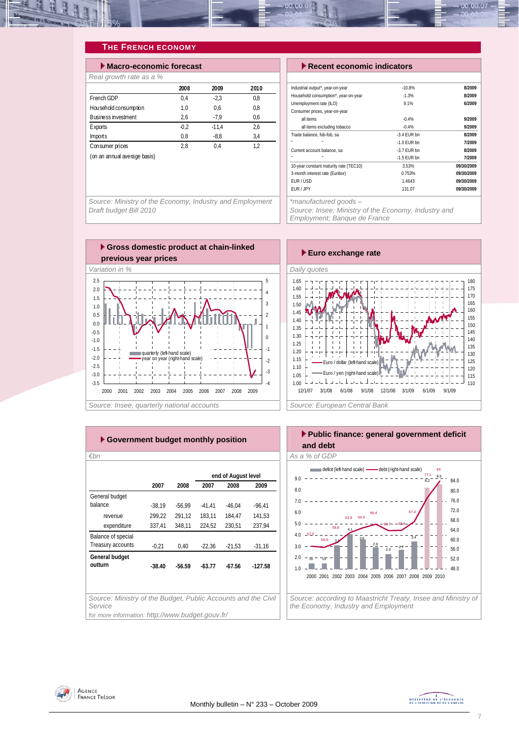

### **THE FRENCH ECONOMY**

| $\blacktriangleright$ Macro-economic forecast |        |         |      |  |  |  |  |  |
|-----------------------------------------------|--------|---------|------|--|--|--|--|--|
| Real growth rate as a %                       |        |         |      |  |  |  |  |  |
|                                               | 2008   | 2009    | 2010 |  |  |  |  |  |
| French GDP                                    | 0.4    | $-2.3$  | 0.8  |  |  |  |  |  |
| Household consumption                         | 1.0    | 0.6     | 0.8  |  |  |  |  |  |
| <b>Business investment</b>                    | 2,6    | $-7.9$  | 0.6  |  |  |  |  |  |
| <b>Exports</b>                                | $-0.2$ | $-11.4$ | 2.6  |  |  |  |  |  |
| Imports                                       | 0,8    | $-8,8$  | 3.4  |  |  |  |  |  |
| Consumer prices                               | 2.8    | 0.4     | 1.2  |  |  |  |  |  |
| (on an annual average basis)                  |        |         |      |  |  |  |  |  |

**Execent economic indicators** 

| Industrial output*, year-on-year       | $-10.8%$      | 8/2009     |
|----------------------------------------|---------------|------------|
| Household consumption*, year-on-year   | $-1.3%$       | 8/2009     |
| Unemployment rate (ILO)                | 9.1%          | 6/2009     |
| Consumer prices, year-on-year          |               |            |
| all items                              | $-0.4%$       | 9/2009     |
| all items excluding tobacco            | $-0.4%$       | 9/2009     |
| Trade balance, fob-fob, sa             | $-3.4$ FUR bn | 8/2009     |
| ×                                      | $-1.0$ FUR bn | 7/2009     |
| Current account balance, sa            | $-3.7$ FUR bn | 8/2009     |
| ×<br>n,                                | $-1.5$ EUR bn | 7/2009     |
| 10-year constant maturity rate (TEC10) | 3.53%         | 09/30/2009 |
| 3-month interest rate (Euribor)        | 0.753%        | 09/30/2009 |
| FUR / USD                              | 1.4643        | 09/30/2009 |
| EUR / JPY                              | 131.07        | 09/30/2009 |

*Source: Ministry of the Economy, Industry and Employment Draft budget Bill 2010* 



*Employment; Banque de France* 



| Euro exchange rate                                                                                                                                                                                                                                                                                                                                                          |
|-----------------------------------------------------------------------------------------------------------------------------------------------------------------------------------------------------------------------------------------------------------------------------------------------------------------------------------------------------------------------------|
| Daily quotes                                                                                                                                                                                                                                                                                                                                                                |
| 1.65<br>180<br>175<br>1.60<br>170<br>1.55<br>165<br>1.50<br>160<br>1.45<br>155<br>1.40<br>150<br>1.35<br>145<br>1.30<br>140<br>1.25<br>135<br>1.20<br>130<br>1.15<br>125<br>Euro / dollar (left-hand scale)<br>1.10<br>120<br>Euro / yen (right-hand scale)<br>1.05<br>115<br>1.00<br>110<br>12/1/07<br>3/1/08<br>3/1/09<br>6/1/08<br>9/1/08<br>12/1/08<br>6/1/09<br>9/1/09 |
| Source: European Central Bank                                                                                                                                                                                                                                                                                                                                               |

| ► Government budget monthly position                                     |          |          |          |                     |           |  |  |  |  |  |
|--------------------------------------------------------------------------|----------|----------|----------|---------------------|-----------|--|--|--|--|--|
| $\varepsilon$ bn                                                         |          |          |          |                     |           |  |  |  |  |  |
|                                                                          |          |          |          | end of August level |           |  |  |  |  |  |
|                                                                          | 2007     | 2008     | 2007     | 2008                | 2009      |  |  |  |  |  |
| General budget                                                           |          |          |          |                     |           |  |  |  |  |  |
| balance                                                                  | $-38,19$ | $-56,99$ | $-41,41$ | $-46.04$            | $-96,41$  |  |  |  |  |  |
| revenue                                                                  | 299.22   | 291,12   | 183.11   | 184.47              | 141.53    |  |  |  |  |  |
| expenditure                                                              | 337,41   | 348,11   | 224,52   | 230,51              | 237,94    |  |  |  |  |  |
| Balance of special                                                       |          |          |          |                     |           |  |  |  |  |  |
| Treasury accounts                                                        | $-0,21$  | 0,40     | $-22,36$ | $-21,53$            | $-31,16$  |  |  |  |  |  |
| General budget                                                           |          |          |          |                     |           |  |  |  |  |  |
| outturn                                                                  | $-38.40$ | $-56.59$ | $-63.77$ | $-67.56$            | $-127.58$ |  |  |  |  |  |
|                                                                          |          |          |          |                     |           |  |  |  |  |  |
|                                                                          |          |          |          |                     |           |  |  |  |  |  |
| Source: Ministry of the Budget, Public Accounts and the Civil<br>Service |          |          |          |                     |           |  |  |  |  |  |
| for more information: http://www.budget.gouv.fr/                         |          |          |          |                     |           |  |  |  |  |  |



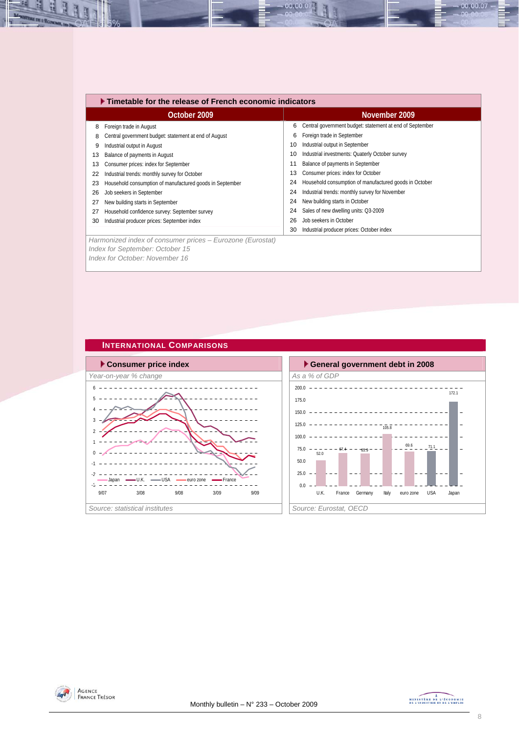|    | $\blacktriangleright$ Timetable for the release of French economic indicators |    |                                                          |  |  |  |  |  |  |
|----|-------------------------------------------------------------------------------|----|----------------------------------------------------------|--|--|--|--|--|--|
|    | October 2009                                                                  |    | November 2009                                            |  |  |  |  |  |  |
| 8  | Foreign trade in August                                                       | 6  | Central government budget: statement at end of September |  |  |  |  |  |  |
| 8  | Central government budget: statement at end of August                         | 6  | Foreign trade in September                               |  |  |  |  |  |  |
| 9  | Industrial output in August                                                   | 10 | Industrial output in September                           |  |  |  |  |  |  |
| 13 | Balance of payments in August                                                 | 10 | Industrial investments: Quaterly October survey          |  |  |  |  |  |  |
| 13 | Consumer prices: index for September                                          | 11 | Balance of payments in September                         |  |  |  |  |  |  |
| 22 | Industrial trends: monthly survey for October                                 | 13 | Consumer prices: index for October                       |  |  |  |  |  |  |
| 23 | Household consumption of manufactured goods in September                      | 24 | Household consumption of manufactured goods in October   |  |  |  |  |  |  |
| 26 | Job seekers in September                                                      | 24 | Industrial trends: monthly survey for November           |  |  |  |  |  |  |
| 27 | New building starts in September                                              | 24 | New building starts in October                           |  |  |  |  |  |  |
| 27 | Household confidence survey: September survey                                 | 24 | Sales of new dwelling units: Q3-2009                     |  |  |  |  |  |  |
| 30 | Industrial producer prices: September index                                   | 26 | Job seekers in October                                   |  |  |  |  |  |  |
|    |                                                                               | 30 | Industrial producer prices: October index                |  |  |  |  |  |  |
|    | Harmonized index of consumer prices – Eurozone (Eurostat)                     |    |                                                          |  |  |  |  |  |  |
|    | Index for September: October 15                                               |    |                                                          |  |  |  |  |  |  |

00.00.07

*Index for October: November 16* 







00.00.07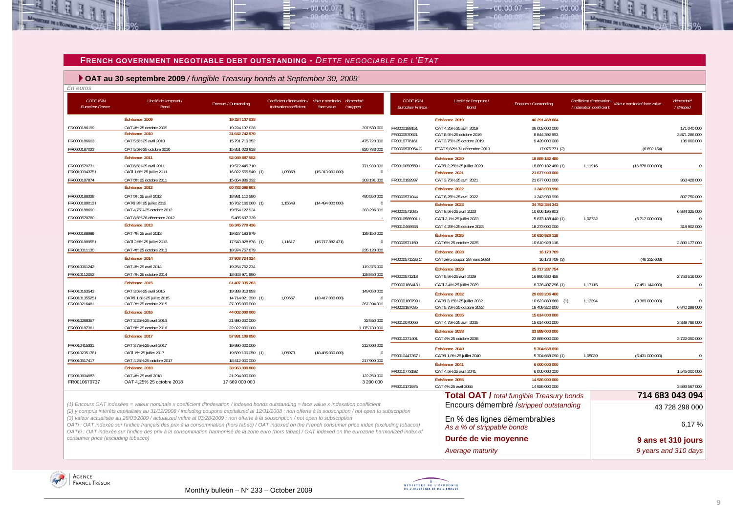#### **FRENCH GOVERNMENT NEGOTIABLE DEBT OUTSTANDING -** *DETTE NEGOCIABLE DE L'ETAT*

 $-00,00,00$ 

 **OAT au 30 septembre 2009** */ fungible Treasury bonds at September 30, 2009*

| En euros                                    |                                                                                                                                                                                                                                                                                                                                                                                                                                                |                                      |                                                                                |                  |                             |                                             |                                                            |                                                  |                                                      |                             |                        |
|---------------------------------------------|------------------------------------------------------------------------------------------------------------------------------------------------------------------------------------------------------------------------------------------------------------------------------------------------------------------------------------------------------------------------------------------------------------------------------------------------|--------------------------------------|--------------------------------------------------------------------------------|------------------|-----------------------------|---------------------------------------------|------------------------------------------------------------|--------------------------------------------------|------------------------------------------------------|-----------------------------|------------------------|
| <b>CODE ISIN</b><br><b>Euroclear France</b> | Libellé de l'emprunt /<br>Bond                                                                                                                                                                                                                                                                                                                                                                                                                 | Encours / Outstanding                | Coefficient d'indexation / Valeur nominale/ démembré<br>indexation coefficient | face value       | /stripped                   | <b>CODE ISIN</b><br><b>Euroclear France</b> | Libellé de l'emprunt /<br><b>Bond</b>                      | Encours / Outstanding                            | Coefficient d'indexation<br>/ indexation coefficient | Valeur nominale/ face value | démembré<br>/ stripped |
|                                             | Échéance 2009                                                                                                                                                                                                                                                                                                                                                                                                                                  | 19 224 137 038                       |                                                                                |                  |                             |                                             | Échéance 2019                                              | 46 291 468 664                                   |                                                      |                             |                        |
| FR0000186199                                | OAT 4% 25 octobre 2009                                                                                                                                                                                                                                                                                                                                                                                                                         | 19 224 137 038                       |                                                                                |                  | 397 533 000                 | FR0000189151                                | OAT 4.25% 25 avril 2019                                    | 28 002 000 000                                   |                                                      |                             | 171 040 000            |
|                                             | Échéance 2010                                                                                                                                                                                                                                                                                                                                                                                                                                  | 31 642 742 970                       |                                                                                |                  |                             | FR0000570921                                | OAT 8,5% 25 octobre 2019                                   | 8 844 392 893                                    |                                                      |                             | 3 871 286 000          |
| FR0000186603                                | OAT 5.5% 25 avril 2010                                                                                                                                                                                                                                                                                                                                                                                                                         | 15 791 719 352                       |                                                                                |                  | 475 720 000                 | FR0010776161                                | OAT 3.75% 25 octobre 2019                                  | 9 428 000 000                                    |                                                      |                             | 136 000 000            |
| FR0000187023                                | OAT 5,5% 25 octobre 2010                                                                                                                                                                                                                                                                                                                                                                                                                       | 15 851 023 618                       |                                                                                |                  | 826 783 000                 | FR0000570954 C                              | ETAT 9,82% 31 décembre 2019                                | 17 075 771 (2)                                   |                                                      | (6692154)                   |                        |
|                                             | Échéance 2011                                                                                                                                                                                                                                                                                                                                                                                                                                  | 52 049 887 582                       |                                                                                |                  |                             |                                             | Échéance 2020                                              | 18 889 182 480                                   |                                                      |                             |                        |
| FR0000570731<br>FR00100943751               | OAT 6.5% 25 avril 2011<br>OATi 1,6% 25 juillet 2011                                                                                                                                                                                                                                                                                                                                                                                            | 19 572 445 710<br>16 822 555 540 (1) | 1,09858                                                                        | (15 313 000 000) | 771 930 000<br>$\mathbf{0}$ | FR00100505591                               | OATEi 2,25% 25 juillet 2020<br>Échéance 2021               | 18 889 182 480 (1)<br>21 677 000 000             | 1.11916                                              | (16878000000)               | $\Omega$               |
| FR0000187874                                | OAT 5% 25 octobre 2011                                                                                                                                                                                                                                                                                                                                                                                                                         | 15 654 886 332                       |                                                                                |                  | 303 191 000                 | FR0010192997                                | OAT 3,75% 25 avril 2021                                    | 21 677 000 000                                   |                                                      |                             | 363 428 000            |
|                                             | Échéance 2012                                                                                                                                                                                                                                                                                                                                                                                                                                  | 60 783 096 903                       |                                                                                |                  |                             |                                             | Échéance 2022                                              | 1 243 939 990                                    |                                                      |                             |                        |
| FR0000188328                                | OAT 5% 25 avril 2012                                                                                                                                                                                                                                                                                                                                                                                                                           | 18 981 110 580                       |                                                                                |                  | 480 550 000                 | FR0000571044                                | OAT 8,25% 25 avril 2022                                    | 1 243 939 990                                    |                                                      |                             | 807 750 000            |
| FR00001880131                               | OATEI 3% 25 juillet 2012                                                                                                                                                                                                                                                                                                                                                                                                                       | 16 762 166 060 (1)                   | 1,15649                                                                        | (14494000000)    | $\Omega$                    |                                             | Échéance 2023                                              | 34 752 384 343                                   |                                                      |                             |                        |
| FR0000188690                                | OAT 4.75% 25 octobre 2012                                                                                                                                                                                                                                                                                                                                                                                                                      | 19 554 122 924                       |                                                                                |                  | 383 296 000                 | FR0000571085                                | OAT 8,5% 25 avril 2023                                     | 10 606 195 903                                   |                                                      |                             | 6 884 325 000          |
| FR0000570780                                | OAT 8.5% 26 décembre 2012                                                                                                                                                                                                                                                                                                                                                                                                                      | 5 485 697 339                        |                                                                                |                  |                             | FR0010585901 I                              | OATi 2,1% 25 juillet 2023                                  | 5 873 188 440 (1)                                | 1,02732                                              | (5717000000)                |                        |
|                                             | Échéance 2013                                                                                                                                                                                                                                                                                                                                                                                                                                  | 56 345 770 436                       |                                                                                |                  |                             | FR0010466938                                | OAT 4,25% 25 octobre 2023                                  | 18 273 000 000                                   |                                                      |                             | 318 902 000            |
| FR0000188989                                | OAT 4% 25 avril 2013                                                                                                                                                                                                                                                                                                                                                                                                                           | 19 827 183 879                       |                                                                                |                  | 139 150 000                 |                                             | Échéance 2025                                              | 10 610 928 118                                   |                                                      |                             |                        |
| FR00001889551                               | OATi 2,5% 25 juillet 2013                                                                                                                                                                                                                                                                                                                                                                                                                      | 17 543 828 878 (1)                   | 1,11617                                                                        | (15717882471)    | $^{\circ}$                  | FR0000571150                                | OAT 6% 25 octobre 2025                                     | 10 610 928 118                                   |                                                      |                             | 2889 177 000           |
| FR0010011130                                | OAT 4% 25 octobre 2013                                                                                                                                                                                                                                                                                                                                                                                                                         | 18 974 757 679                       |                                                                                |                  | 235 120 000                 |                                             | Échéance 2028                                              | 16 173 709                                       |                                                      |                             |                        |
|                                             | Échéance 2014                                                                                                                                                                                                                                                                                                                                                                                                                                  | 37 908 724 224                       |                                                                                |                  |                             | FR0000571226 C                              | OAT zéro coupon 28 mars 2028                               | 16 173 709 (3)                                   |                                                      | (46232603)                  |                        |
| FR0010061242                                | OAT 4% 25 avril 2014                                                                                                                                                                                                                                                                                                                                                                                                                           | 19 254 752 234                       |                                                                                |                  | 119 375 000                 |                                             | Échéance 2029                                              | 25 717 287 754                                   |                                                      |                             |                        |
| FR0010112052                                | OAT 4% 25 octobre 2014                                                                                                                                                                                                                                                                                                                                                                                                                         | 18 653 971 990                       |                                                                                |                  | 128 850 000                 | FR0000571218                                | OAT 5,5% 25 avril 2029                                     | 16 990 880 458                                   |                                                      |                             | 2 753 516 000          |
|                                             | Échéance 2015                                                                                                                                                                                                                                                                                                                                                                                                                                  | 61 407 335 283                       |                                                                                |                  |                             | FR00001864131                               | OATi 3,4% 25 juillet 2029                                  | 8726407296 (1)                                   | 1.17115                                              | (7 451 144 000)             | $\Omega$               |
| FR0010163543                                | OAT 3,5% 25 avril 2015                                                                                                                                                                                                                                                                                                                                                                                                                         | 19 388 313 893                       |                                                                                |                  | 149 650 000                 |                                             |                                                            |                                                  |                                                      |                             |                        |
| FR00101355251                               | OATEI 1,6% 25 juillet 2015                                                                                                                                                                                                                                                                                                                                                                                                                     | 14 714 021 390 (1)                   | 1,09667                                                                        | (13 417 000 000) | $\Omega$                    | FR00001887991                               | Échéance 2032<br>OATEi 3,15% 25 juillet 2032               | 29 033 206 460<br>10 623 883 860 (1)             | 1,13394                                              | (9369000000)                |                        |
| FR0010216481                                | OAT 3% 25 octobre 2015                                                                                                                                                                                                                                                                                                                                                                                                                         | 27 305 000 000                       |                                                                                |                  | 267 394 000                 | FR0000187635                                | OAT 5,75% 25 octobre 2032                                  | 18 409 322 600                                   |                                                      |                             | 6 840 299 000          |
|                                             | Échéance 2016                                                                                                                                                                                                                                                                                                                                                                                                                                  | 44 002 000 000                       |                                                                                |                  |                             |                                             | Échéance 2035                                              | 15 614 000 000                                   |                                                      |                             |                        |
| FR0010288357                                | OAT 3.25% 25 avril 2016                                                                                                                                                                                                                                                                                                                                                                                                                        | 21 980 000 000                       |                                                                                |                  | 32 550 000                  | FR0010070060                                | OAT 4,75% 25 avril 2035                                    | 15 614 000 000                                   |                                                      |                             | 3 389 786 000          |
| FR0000187361                                | OAT 5% 25 octobre 2016                                                                                                                                                                                                                                                                                                                                                                                                                         | 22 022 000 000                       |                                                                                |                  | 1 175 730 000               |                                             | Échéance 2038                                              | 23 889 000 000                                   |                                                      |                             |                        |
|                                             | Échéance 2017                                                                                                                                                                                                                                                                                                                                                                                                                                  | 57 991 109 050                       |                                                                                |                  |                             | FR0010371401                                | OAT 4% 25 octobre 2038                                     | 23 889 000 000                                   |                                                      |                             | 3722050000             |
| FR0010415331                                | OAT 3,75% 25 avril 2017                                                                                                                                                                                                                                                                                                                                                                                                                        | 19 990 000 000                       |                                                                                |                  | 212 000 000                 |                                             | Échéance 2040                                              | 5704 668 090                                     |                                                      |                             |                        |
| FR00102351761                               | OATi 1% 25 juillet 2017                                                                                                                                                                                                                                                                                                                                                                                                                        | 19 589 109 050 (1)                   | 1,05973                                                                        | (18485000000)    | $\overline{0}$              | FR00104473671                               | OATEi 1,8% 25 juillet 2040                                 | 5704 668 090 (1)                                 | 1,05039                                              | (5431000000)                |                        |
| FR0010517417                                | OAT 4.25% 25 octobre 2017                                                                                                                                                                                                                                                                                                                                                                                                                      | 18 412 000 000                       |                                                                                |                  | 217 900 000                 |                                             | Échéance 2041                                              | 6 000 000 000                                    |                                                      |                             |                        |
|                                             | Échéance 2018                                                                                                                                                                                                                                                                                                                                                                                                                                  | 38 963 000 000                       |                                                                                |                  |                             | FR0010773192                                | OAT 4.5% 25 avril 2041                                     | 6 000 000 000                                    |                                                      |                             | 1545 000 000           |
| FR0010604983                                | OAT 4% 25 avril 2018                                                                                                                                                                                                                                                                                                                                                                                                                           | 21 294 000 000                       |                                                                                |                  | 122 250 000                 |                                             | Échéance 2055                                              | 14 926 000 000                                   |                                                      |                             |                        |
| FR0010670737                                | OAT 4,25% 25 octobre 2018                                                                                                                                                                                                                                                                                                                                                                                                                      | 17 669 000 000                       |                                                                                |                  | 3 200 000                   | FR0010171975                                | OAT 4% 25 avril 2055                                       | 14 926 000 000                                   |                                                      |                             | 3 593 567 000          |
|                                             |                                                                                                                                                                                                                                                                                                                                                                                                                                                |                                      |                                                                                |                  |                             |                                             |                                                            | <b>Total OAT / total fungible Treasury bonds</b> |                                                      |                             | 714 683 043 094        |
|                                             | (1) Encours OAT indexées = valeur nominale x coefficient d'indexation / indexed bonds outstanding = face value x indexation coefficient<br>(2) y compris intérêts capitalisés au 31/12/2008 / including coupons capitalized at 12/31/2008 ; non offerte à la souscription / not open to subscription                                                                                                                                           |                                      |                                                                                |                  |                             |                                             |                                                            | Encours démembré /stripped outstanding           |                                                      |                             | 43 728 298 000         |
|                                             | (3) valeur actualisée au 28/03/2009 / actualized value at 03/28/2009 ; non offerte à la souscription / not open to subscription<br>OATi: OAT indexée sur l'indice français des prix à la consommation (hors tabac) / OAT indexed on the French consumer price index (excluding tobacco)<br>OATEI: OAT indexée sur l'indice des prix à la consommation harmonisé de la zone euro (hors tabac) / OAT indexed on the eurozone harmonized index of |                                      |                                                                                |                  |                             |                                             | En % des lignes démembrables<br>As a % of strippable bonds |                                                  |                                                      |                             | 6.17%                  |
| consumer price (excluding tobacco)          |                                                                                                                                                                                                                                                                                                                                                                                                                                                |                                      |                                                                                |                  |                             |                                             | Durée de vie moyenne                                       |                                                  |                                                      |                             | 9 ans et 310 jours     |



-4 R



*Average maturity 9 years and 310 days* 

 $-00,00,07$ 

 $00.00$